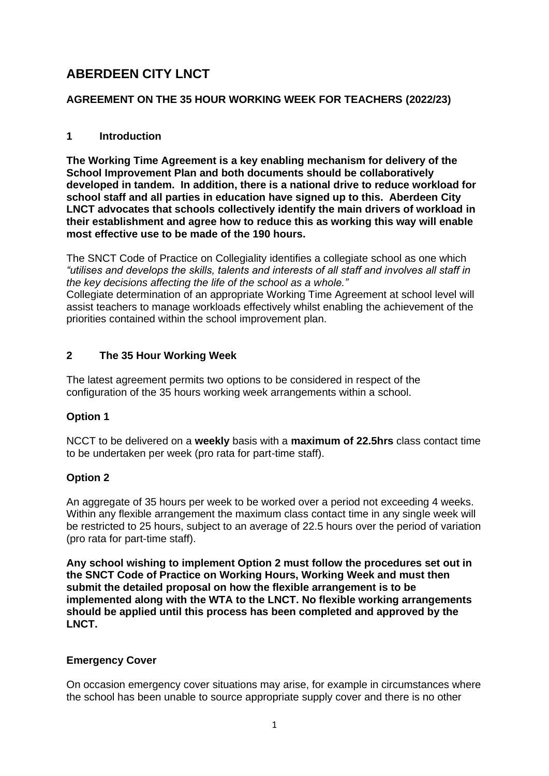# **ABERDEEN CITY LNCT**

## **AGREEMENT ON THE 35 HOUR WORKING WEEK FOR TEACHERS (2022/23)**

## **1 Introduction**

**The Working Time Agreement is a key enabling mechanism for delivery of the School Improvement Plan and both documents should be collaboratively developed in tandem. In addition, there is a national drive to reduce workload for school staff and all parties in education have signed up to this. Aberdeen City LNCT advocates that schools collectively identify the main drivers of workload in their establishment and agree how to reduce this as working this way will enable most effective use to be made of the 190 hours.** 

The SNCT Code of Practice on Collegiality identifies a collegiate school as one which *"utilises and develops the skills, talents and interests of all staff and involves all staff in the key decisions affecting the life of the school as a whole."* 

Collegiate determination of an appropriate Working Time Agreement at school level will assist teachers to manage workloads effectively whilst enabling the achievement of the priorities contained within the school improvement plan.

## **2 The 35 Hour Working Week**

The latest agreement permits two options to be considered in respect of the configuration of the 35 hours working week arrangements within a school.

## **Option 1**

NCCT to be delivered on a **weekly** basis with a **maximum of 22.5hrs** class contact time to be undertaken per week (pro rata for part-time staff).

## **Option 2**

An aggregate of 35 hours per week to be worked over a period not exceeding 4 weeks. Within any flexible arrangement the maximum class contact time in any single week will be restricted to 25 hours, subject to an average of 22.5 hours over the period of variation (pro rata for part-time staff).

**Any school wishing to implement Option 2 must follow the procedures set out in the SNCT Code of Practice on Working Hours, Working Week and must then submit the detailed proposal on how the flexible arrangement is to be implemented along with the WTA to the LNCT. No flexible working arrangements should be applied until this process has been completed and approved by the LNCT.** 

## **Emergency Cover**

On occasion emergency cover situations may arise, for example in circumstances where the school has been unable to source appropriate supply cover and there is no other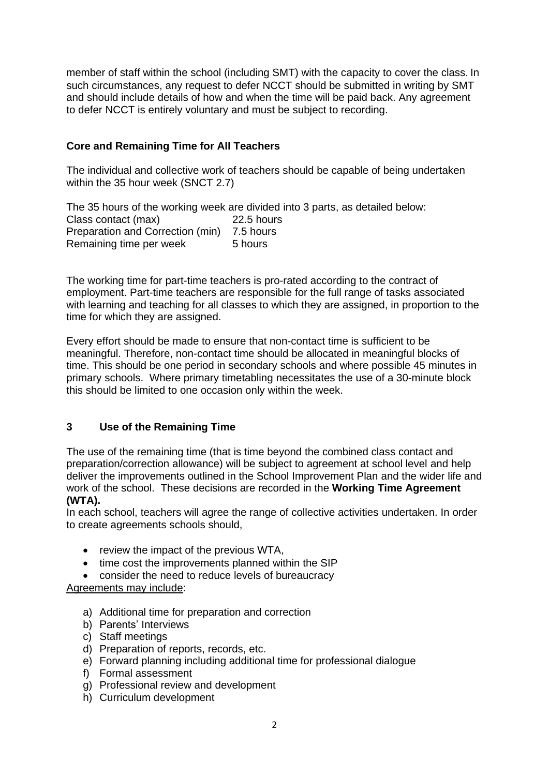member of staff within the school (including SMT) with the capacity to cover the class. In such circumstances, any request to defer NCCT should be submitted in writing by SMT and should include details of how and when the time will be paid back. Any agreement to defer NCCT is entirely voluntary and must be subject to recording.

## **Core and Remaining Time for All Teachers**

The individual and collective work of teachers should be capable of being undertaken within the 35 hour week (SNCT 2.7)

The 35 hours of the working week are divided into 3 parts, as detailed below: Class contact (max) 22.5 hours Preparation and Correction (min) 7.5 hours Remaining time per week 5 hours

The working time for part-time teachers is pro-rated according to the contract of employment. Part-time teachers are responsible for the full range of tasks associated with learning and teaching for all classes to which they are assigned, in proportion to the time for which they are assigned.

Every effort should be made to ensure that non-contact time is sufficient to be meaningful. Therefore, non-contact time should be allocated in meaningful blocks of time. This should be one period in secondary schools and where possible 45 minutes in primary schools. Where primary timetabling necessitates the use of a 30-minute block this should be limited to one occasion only within the week.

## **3 Use of the Remaining Time**

The use of the remaining time (that is time beyond the combined class contact and preparation/correction allowance) will be subject to agreement at school level and help deliver the improvements outlined in the School Improvement Plan and the wider life and work of the school. These decisions are recorded in the **Working Time Agreement (WTA).**

In each school, teachers will agree the range of collective activities undertaken. In order to create agreements schools should,

- review the impact of the previous WTA,
- time cost the improvements planned within the SIP
- consider the need to reduce levels of bureaucracy

Agreements may include:

- a) Additional time for preparation and correction
- b) Parents' Interviews
- c) Staff meetings
- d) Preparation of reports, records, etc.
- e) Forward planning including additional time for professional dialogue
- f) Formal assessment
- g) Professional review and development
- h) Curriculum development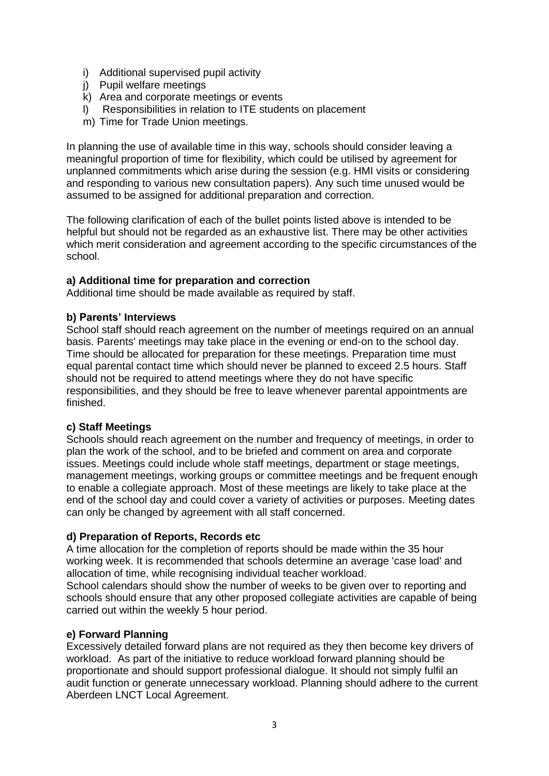- i) Additional supervised pupil activity
- j) Pupil welfare meetings
- k) Area and corporate meetings or events
- l) Responsibilities in relation to ITE students on placement
- m) Time for Trade Union meetings.

In planning the use of available time in this way, schools should consider leaving a meaningful proportion of time for flexibility, which could be utilised by agreement for unplanned commitments which arise during the session (e.g. HMI visits or considering and responding to various new consultation papers). Any such time unused would be assumed to be assigned for additional preparation and correction.

The following clarification of each of the bullet points listed above is intended to be helpful but should not be regarded as an exhaustive list. There may be other activities which merit consideration and agreement according to the specific circumstances of the school.

#### **a) Additional time for preparation and correction**

Additional time should be made available as required by staff.

#### **b) Parents' Interviews**

School staff should reach agreement on the number of meetings required on an annual basis. Parents' meetings may take place in the evening or end-on to the school day. Time should be allocated for preparation for these meetings. Preparation time must equal parental contact time which should never be planned to exceed 2.5 hours. Staff should not be required to attend meetings where they do not have specific responsibilities, and they should be free to leave whenever parental appointments are finished.

#### **c) Staff Meetings**

Schools should reach agreement on the number and frequency of meetings, in order to plan the work of the school, and to be briefed and comment on area and corporate issues. Meetings could include whole staff meetings, department or stage meetings, management meetings, working groups or committee meetings and be frequent enough to enable a collegiate approach. Most of these meetings are likely to take place at the end of the school day and could cover a variety of activities or purposes. Meeting dates can only be changed by agreement with all staff concerned.

#### **d) Preparation of Reports, Records etc**

A time allocation for the completion of reports should be made within the 35 hour working week. It is recommended that schools determine an average 'case load' and allocation of time, while recognising individual teacher workload.

School calendars should show the number of weeks to be given over to reporting and schools should ensure that any other proposed collegiate activities are capable of being carried out within the weekly 5 hour period.

#### **e) Forward Planning**

Excessively detailed forward plans are not required as they then become key drivers of workload. As part of the initiative to reduce workload forward planning should be proportionate and should support professional dialogue. It should not simply fulfil an audit function or generate unnecessary workload. Planning should adhere to the current Aberdeen LNCT Local Agreement.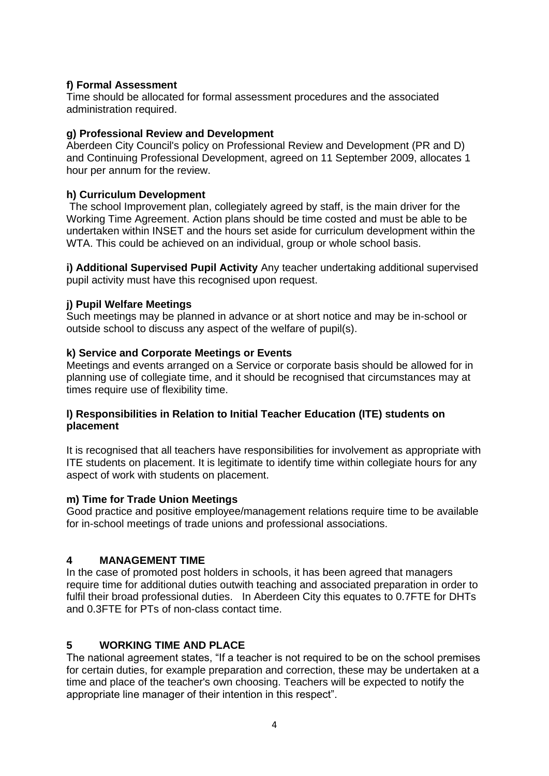## **f) Formal Assessment**

Time should be allocated for formal assessment procedures and the associated administration required.

#### **g) Professional Review and Development**

Aberdeen City Council's policy on Professional Review and Development (PR and D) and Continuing Professional Development, agreed on 11 September 2009, allocates 1 hour per annum for the review.

#### **h) Curriculum Development**

The school Improvement plan, collegiately agreed by staff, is the main driver for the Working Time Agreement. Action plans should be time costed and must be able to be undertaken within INSET and the hours set aside for curriculum development within the WTA. This could be achieved on an individual, group or whole school basis.

**i) Additional Supervised Pupil Activity** Any teacher undertaking additional supervised pupil activity must have this recognised upon request.

#### **j) Pupil Welfare Meetings**

Such meetings may be planned in advance or at short notice and may be in-school or outside school to discuss any aspect of the welfare of pupil(s).

#### **k) Service and Corporate Meetings or Events**

Meetings and events arranged on a Service or corporate basis should be allowed for in planning use of collegiate time, and it should be recognised that circumstances may at times require use of flexibility time.

## **l) Responsibilities in Relation to Initial Teacher Education (ITE) students on placement**

It is recognised that all teachers have responsibilities for involvement as appropriate with ITE students on placement. It is legitimate to identify time within collegiate hours for any aspect of work with students on placement.

#### **m) Time for Trade Union Meetings**

Good practice and positive employee/management relations require time to be available for in-school meetings of trade unions and professional associations.

#### **4 MANAGEMENT TIME**

In the case of promoted post holders in schools, it has been agreed that managers require time for additional duties outwith teaching and associated preparation in order to fulfil their broad professional duties. In Aberdeen City this equates to 0.7FTE for DHTs and 0.3FTE for PTs of non-class contact time.

## **5 WORKING TIME AND PLACE**

The national agreement states, "If a teacher is not required to be on the school premises for certain duties, for example preparation and correction, these may be undertaken at a time and place of the teacher's own choosing. Teachers will be expected to notify the appropriate line manager of their intention in this respect".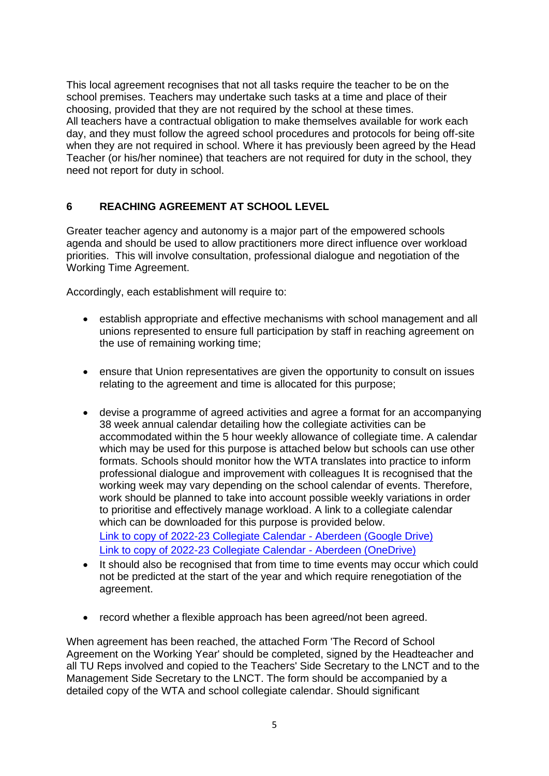This local agreement recognises that not all tasks require the teacher to be on the school premises. Teachers may undertake such tasks at a time and place of their choosing, provided that they are not required by the school at these times. All teachers have a contractual obligation to make themselves available for work each day, and they must follow the agreed school procedures and protocols for being off-site when they are not required in school. Where it has previously been agreed by the Head Teacher (or his/her nominee) that teachers are not required for duty in the school, they need not report for duty in school.

## **6 REACHING AGREEMENT AT SCHOOL LEVEL**

Greater teacher agency and autonomy is a major part of the empowered schools agenda and should be used to allow practitioners more direct influence over workload priorities. This will involve consultation, professional dialogue and negotiation of the Working Time Agreement.

Accordingly, each establishment will require to:

- establish appropriate and effective mechanisms with school management and all unions represented to ensure full participation by staff in reaching agreement on the use of remaining working time;
- ensure that Union representatives are given the opportunity to consult on issues relating to the agreement and time is allocated for this purpose;
- devise a programme of agreed activities and agree a format for an accompanying 38 week annual calendar detailing how the collegiate activities can be accommodated within the 5 hour weekly allowance of collegiate time. A calendar which may be used for this purpose is attached below but schools can use other formats. Schools should monitor how the WTA translates into practice to inform professional dialogue and improvement with colleagues It is recognised that the working week may vary depending on the school calendar of events. Therefore, work should be planned to take into account possible weekly variations in order to prioritise and effectively manage workload. A link to a collegiate calendar which can be downloaded for this purpose is provided below. [Link to copy of 2022-23](https://docs.google.com/spreadsheets/d/1D-YKO71y2DwSbs9a4UAs0PKHiC2EBErN/edit?usp=sharing&ouid=113040060665023778040&rtpof=true&sd=true) Collegiate Calendar - Aberdeen (Google Drive) [Link to copy of 2022-23 Collegiate Calendar -](https://aberdeencitycouncilo365-my.sharepoint.com/:x:/g/personal/iahmad_aberdeencity_gov_uk/Ef00XtJczeZMmzm5g6-BV24BEzV_5NA0YfStBh0M7DbUQQ?e=78EHIC) Aberdeen (OneDrive)
- It should also be recognised that from time to time events may occur which could not be predicted at the start of the year and which require renegotiation of the agreement.
- record whether a flexible approach has been agreed/not been agreed.

When agreement has been reached, the attached Form 'The Record of School Agreement on the Working Year' should be completed, signed by the Headteacher and all TU Reps involved and copied to the Teachers' Side Secretary to the LNCT and to the Management Side Secretary to the LNCT. The form should be accompanied by a detailed copy of the WTA and school collegiate calendar. Should significant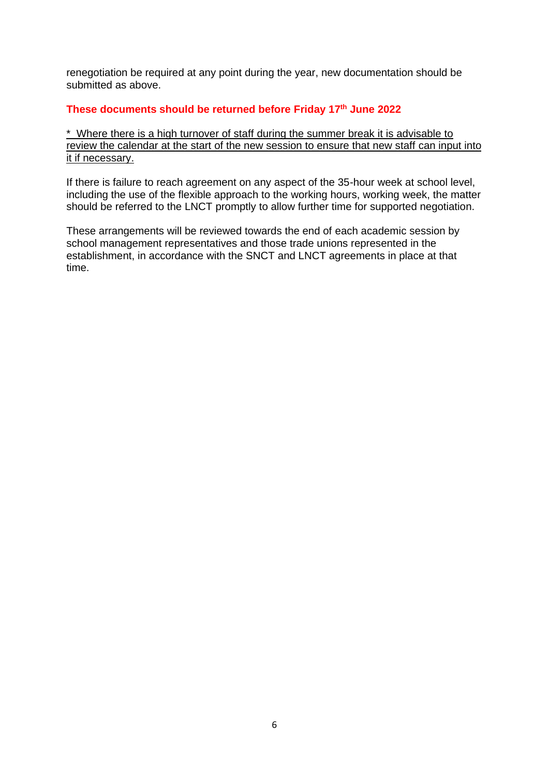renegotiation be required at any point during the year, new documentation should be submitted as above.

#### **These documents should be returned before Friday 17 th June 2022**

\* Where there is a high turnover of staff during the summer break it is advisable to review the calendar at the start of the new session to ensure that new staff can input into it if necessary.

If there is failure to reach agreement on any aspect of the 35-hour week at school level, including the use of the flexible approach to the working hours, working week, the matter should be referred to the LNCT promptly to allow further time for supported negotiation.

These arrangements will be reviewed towards the end of each academic session by school management representatives and those trade unions represented in the establishment, in accordance with the SNCT and LNCT agreements in place at that time.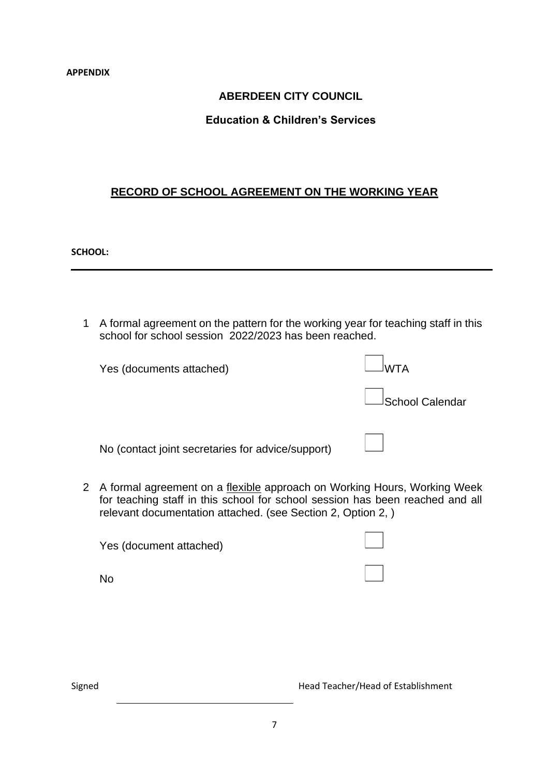#### **APPENDIX**

## **ABERDEEN CITY COUNCIL**

## **Education & Children's Services**

## **RECORD OF SCHOOL AGREEMENT ON THE WORKING YEAR**

**SCHOOL:**

1 A formal agreement on the pattern for the working year for teaching staff in this school for school session 2022/2023 has been reached.

| Yes (documents attached)                          |                 |
|---------------------------------------------------|-----------------|
|                                                   | School Calendar |
| No (contact joint secretaries for advice/support) |                 |

2 A formal agreement on a flexible approach on Working Hours, Working Week for teaching staff in this school for school session has been reached and all relevant documentation attached. (see Section 2, Option 2, )

| Yes (document attached) |  |
|-------------------------|--|
| <b>No</b>               |  |

Signed Head Teacher/Head of Establishment